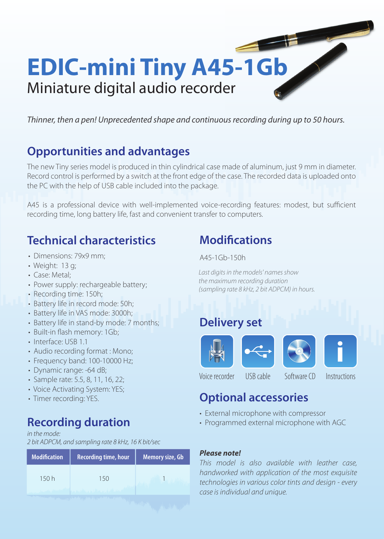

*Thinner, then a pen! Unprecedented shape and continuous recording during up to 50 hours.* 

## **Opportunities and advantages**

The new Tiny series model is produced in thin cylindrical case made of aluminum, just 9 mm in diameter. Record control is performed by a switch at the front edge of the case. The recorded data is uploaded onto the PC with the help of USB cable included into the package.

A45 is a professional device with well-implemented voice-recording features: modest, but sufficient recording time, long battery life, fast and convenient transfer to computers.

## **Technical characteristics**

- Dimensions: 79x9 mm;
- Weight: 13 g;
- Case: Metal;
- Power supply: rechargeable battery;
- Recording time: 150h;
- Battery life in record mode: 50h;
- Battery life in VAS mode: 3000h;
- Battery life in stand-by mode: 7 months;
- Built-in flash memory: 1Gb;
- Interface: USB 1.1
- Audio recording format : Mono;
- Frequency band: 100-10000 Hz;
- Dynamic range: -64 dB;
- Sample rate: 5.5, 8, 11, 16, 22;
- Voice Activating System: YES;
- Timer recording: YES.

## **Recording duration**

### *in the mode:*

*2 bit ADPCM, and sampling rate 8 kHz, 16 K bit/sec*

| <b>Modification</b>                                       | <b>Recording time, hour</b> | Memory size, Gb |
|-----------------------------------------------------------|-----------------------------|-----------------|
| 150 h                                                     | 15()                        |                 |
| the Plant of Longitude County of the Holy of the Research |                             |                 |

## **Modifications**

A45-1Gb-150h

*Last digits in the models' names show the maximum recording duration (sampling rate 8 kHz, 2 bit ADPCM) in hours.*

## **Delivery set**



Voice recorder USB cable Software CD Instructions

## **Optional accessories**

- External microphone with compressor
- Programmed external microphone with AGC

## *Please note!*

*This model is also available with leather case, handworked with application of the most exquisite technologies in various color tints and design - every case is individual and unique.*